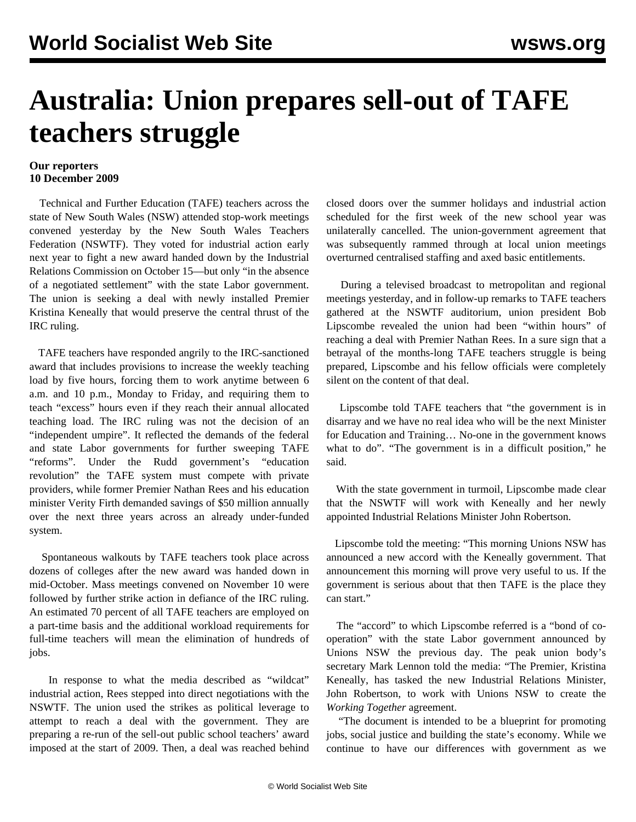## **Australia: Union prepares sell-out of TAFE teachers struggle**

## **Our reporters 10 December 2009**

 Technical and Further Education (TAFE) teachers across the state of New South Wales (NSW) attended stop-work meetings convened yesterday by the New South Wales Teachers Federation (NSWTF). They voted for industrial action early next year to fight a new award handed down by the Industrial Relations Commission on October 15—but only "in the absence of a negotiated settlement" with the state Labor government. The union is seeking a deal with newly installed Premier Kristina Keneally that would preserve the central thrust of the IRC ruling.

 TAFE teachers have responded angrily to the IRC-sanctioned award that includes provisions to increase the weekly teaching load by five hours, forcing them to work anytime between 6 a.m. and 10 p.m., Monday to Friday, and requiring them to teach "excess" hours even if they reach their annual allocated teaching load. The IRC ruling was not the decision of an "independent umpire". It reflected the demands of the federal and state Labor governments for further sweeping TAFE "reforms". Under the Rudd government's "education revolution" the TAFE system must compete with private providers, while former Premier Nathan Rees and his education minister Verity Firth demanded savings of \$50 million annually over the next three years across an already under-funded system.

 Spontaneous walkouts by TAFE teachers took place across dozens of colleges after the new award was handed down in mid-October. Mass meetings convened on November 10 were followed by further strike action in defiance of the IRC ruling. An estimated 70 percent of all TAFE teachers are employed on a part-time basis and the additional workload requirements for full-time teachers will mean the elimination of hundreds of jobs.

 In response to what the media described as "wildcat" industrial action, Rees stepped into direct negotiations with the NSWTF. The union used the strikes as political leverage to attempt to reach a deal with the government. They are preparing a re-run of the sell-out public school teachers' award imposed at the start of 2009. Then, a deal was reached behind closed doors over the summer holidays and industrial action scheduled for the first week of the new school year was unilaterally cancelled. The union-government agreement that was subsequently rammed through at local union meetings overturned centralised staffing and axed basic entitlements.

 During a televised broadcast to metropolitan and regional meetings yesterday, and in follow-up remarks to TAFE teachers gathered at the NSWTF auditorium, union president Bob Lipscombe revealed the union had been "within hours" of reaching a deal with Premier Nathan Rees. In a sure sign that a betrayal of the months-long TAFE teachers struggle is being prepared, Lipscombe and his fellow officials were completely silent on the content of that deal.

 Lipscombe told TAFE teachers that "the government is in disarray and we have no real idea who will be the next Minister for Education and Training… No-one in the government knows what to do". "The government is in a difficult position," he said.

 With the state government in turmoil, Lipscombe made clear that the NSWTF will work with Keneally and her newly appointed Industrial Relations Minister John Robertson.

 Lipscombe told the meeting: "This morning Unions NSW has announced a new accord with the Keneally government. That announcement this morning will prove very useful to us. If the government is serious about that then TAFE is the place they can start."

 The "accord" to which Lipscombe referred is a "bond of cooperation" with the state Labor government announced by Unions NSW the previous day. The peak union body's secretary Mark Lennon told the media: "The Premier, Kristina Keneally, has tasked the new Industrial Relations Minister, John Robertson, to work with Unions NSW to create the *Working Together* agreement.

 "The document is intended to be a blueprint for promoting jobs, social justice and building the state's economy. While we continue to have our differences with government as we